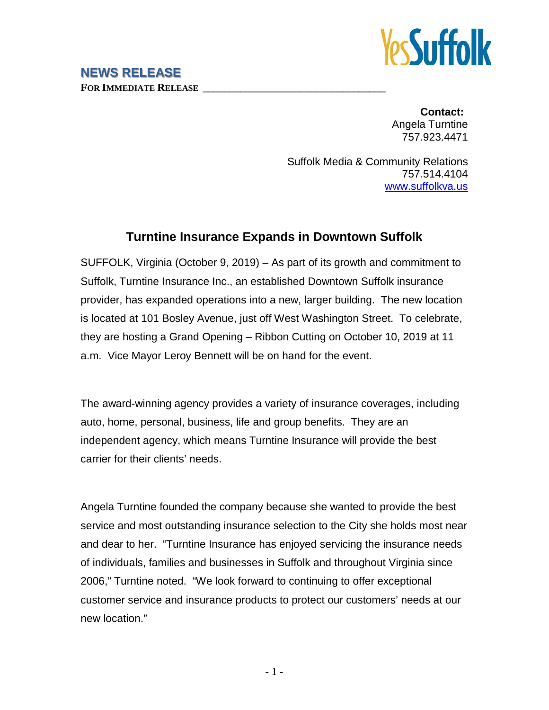

## **NEWS RELEASE FOR IMMEDIATE RELEASE \_\_\_\_\_\_\_\_\_\_\_\_\_\_\_\_\_\_\_\_\_\_\_\_\_\_\_\_\_\_\_\_\_\_**

**Contact:** Angela Turntine 757.923.4471

Suffolk Media & Community Relations 757.514.4104 [www.suffolkva.us](http://www.suffolkva.us/)

## **Turntine Insurance Expands in Downtown Suffolk**

SUFFOLK, Virginia (October 9, 2019) – As part of its growth and commitment to Suffolk, Turntine Insurance Inc., an established Downtown Suffolk insurance provider, has expanded operations into a new, larger building. The new location is located at 101 Bosley Avenue, just off West Washington Street. To celebrate, they are hosting a Grand Opening – Ribbon Cutting on October 10, 2019 at 11 a.m. Vice Mayor Leroy Bennett will be on hand for the event.

The award-winning agency provides a variety of insurance coverages, including auto, home, personal, business, life and group benefits. They are an independent agency, which means Turntine Insurance will provide the best carrier for their clients' needs.

Angela Turntine founded the company because she wanted to provide the best service and most outstanding insurance selection to the City she holds most near and dear to her. "Turntine Insurance has enjoyed servicing the insurance needs of individuals, families and businesses in Suffolk and throughout Virginia since 2006," Turntine noted. "We look forward to continuing to offer exceptional customer service and insurance products to protect our customers' needs at our new location."